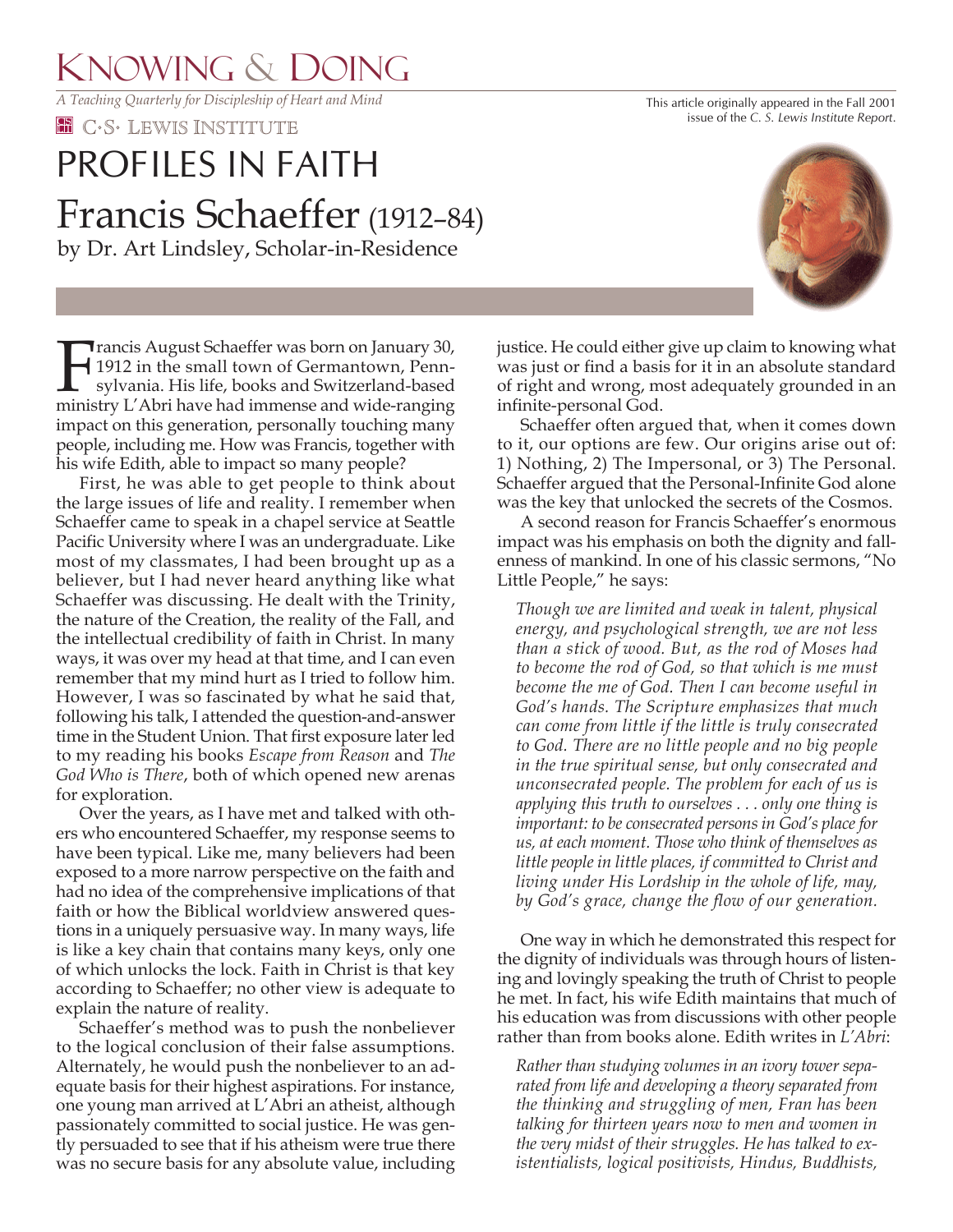## KNOWING & DOING

*A Teaching Quarterly for Discipleship of Heart and Mind*

**EE** C.S. LEWIS INSTITUTE

## Francis Schaeffer (1912–84) by Dr. Art Lindsley, Scholar-in-Residence PROFILES IN FAITH

Francis August Schaeffer was born on January 30,<br>1912 in the small town of Germantown, Penn-<br>sylvania. His life, books and Switzerland-based<br>ministry I 'Abri have had immense and wide-ranging 1912 in the small town of Germantown, Pennsylvania. His life, books and Switzerland-based ministry L'Abri have had immense and wide-ranging impact on this generation, personally touching many people, including me. How was Francis, together with his wife Edith, able to impact so many people?

 First, he was able to get people to think about the large issues of life and reality. I remember when Schaeffer came to speak in a chapel service at Seattle Pacific University where I was an undergraduate. Like most of my classmates, I had been brought up as a believer, but I had never heard anything like what Schaeffer was discussing. He dealt with the Trinity, the nature of the Creation, the reality of the Fall, and the intellectual credibility of faith in Christ. In many ways, it was over my head at that time, and I can even remember that my mind hurt as I tried to follow him. However, I was so fascinated by what he said that, following his talk, I attended the question-and-answer time in the Student Union. That first exposure later led to my reading his books *Escape from Reason* and *The God Who is There*, both of which opened new arenas for exploration.

 Over the years, as I have met and talked with others who encountered Schaeffer, my response seems to have been typical. Like me, many believers had been exposed to a more narrow perspective on the faith and had no idea of the comprehensive implications of that faith or how the Biblical worldview answered questions in a uniquely persuasive way. In many ways, life is like a key chain that contains many keys, only one of which unlocks the lock. Faith in Christ is that key according to Schaeffer; no other view is adequate to explain the nature of reality.

 Schaeffer's method was to push the nonbeliever to the logical conclusion of their false assumptions. Alternately, he would push the nonbeliever to an adequate basis for their highest aspirations. For instance, one young man arrived at L'Abri an atheist, although passionately committed to social justice. He was gently persuaded to see that if his atheism were true there was no secure basis for any absolute value, including justice. He could either give up claim to knowing what was just or find a basis for it in an absolute standard of right and wrong, most adequately grounded in an infinite-personal God.

 Schaeffer often argued that, when it comes down to it, our options are few. Our origins arise out of: 1) Nothing, 2) The Impersonal, or 3) The Personal. Schaeffer argued that the Personal-Infinite God alone was the key that unlocked the secrets of the Cosmos.

 A second reason for Francis Schaeffer's enormous impact was his emphasis on both the dignity and fallenness of mankind. In one of his classic sermons, "No Little People," he says:

*Though we are limited and weak in talent, physical energy, and psychological strength, we are not less than a stick of wood. But, as the rod of Moses had to become the rod of God, so that which is me must become the me of God. Then I can become useful in God's hands. The Scripture emphasizes that much can come from little if the little is truly consecrated to God. There are no little people and no big people in the true spiritual sense, but only consecrated and unconsecrated people. The problem for each of us is applying this truth to ourselves . . . only one thing is important: to be consecrated persons in God's place for us, at each moment. Those who think of themselves as little people in little places, if committed to Christ and living under His Lordship in the whole of life, may, by God's grace, change the flow of our generation.*

 One way in which he demonstrated this respect for the dignity of individuals was through hours of listening and lovingly speaking the truth of Christ to people he met. In fact, his wife Edith maintains that much of his education was from discussions with other people rather than from books alone. Edith writes in *L'Abri*:

*Rather than studying volumes in an ivory tower separated from life and developing a theory separated from the thinking and struggling of men, Fran has been talking for thirteen years now to men and women in the very midst of their struggles. He has talked to existentialists, logical positivists, Hindus, Buddhists,* 



This article originally appeared in the Fall 2001 issue of the *C. S. Lewis Institute Report*.